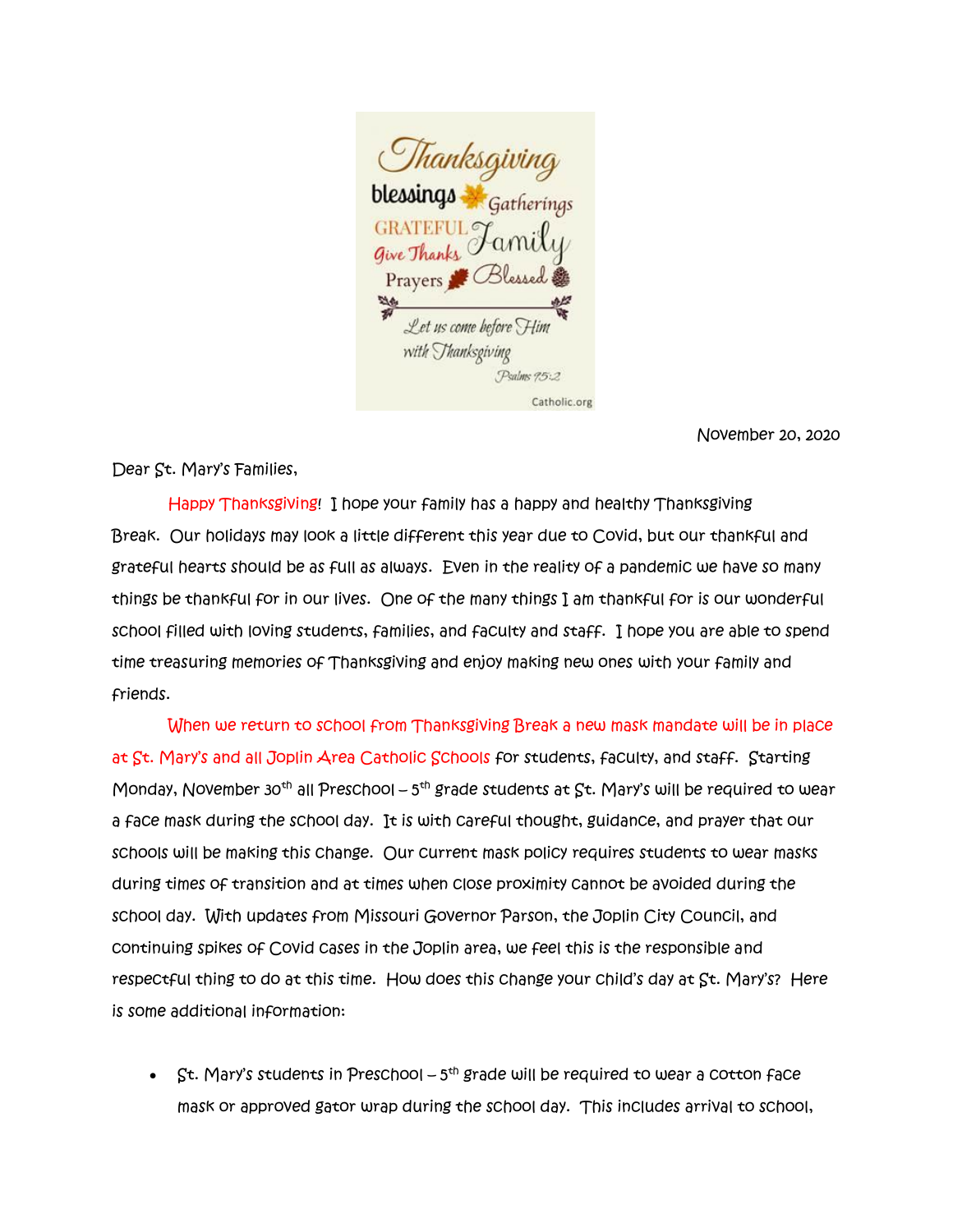

November 20, 2020

Dear St. Mary's Families,

 Happy Thanksgiving! I hope your family has a happy and healthy Thanksgiving Break. Our holidays may look a little different this year due to Covid, but our thankful and grateful hearts should be as full as always. Even in the reality of a pandemic we have so many things be thankful for in our lives. One of the many things I am thankful for is our wonderful school filled with loving students, families, and faculty and staff. I hope you are able to spend time treasuring memories of Thanksgiving and enjoy making new ones with your family and friends.

 When we return to school from Thanksgiving Break a new mask mandate will be in place at St. Mary's and all Joplin Area Catholic Schools for students, faculty, and staff. Starting Monday, November 30<sup>th</sup> all Preschool – 5<sup>th</sup> grade students at  $\operatorname{\mathsf{St}}$ . Mary's will be required to wear a face mask during the school day. It is with careful thought, guidance, and prayer that our schools will be making this change. Our current mask policy requires students to wear masks during times of transition and at times when close proximity cannot be avoided during the school day. With updates from Missouri Governor Parson, the Joplin City Council, and continuing spikes of Covid cases in the Joplin area, we feel this is the responsible and respectful thing to do at this time. How does this change your child's day at St. Mary's? Here is some additional information:

•  $\int$ st. Mary's students in Preschool – 5<sup>th</sup> grade will be required to wear a cotton face mask or approved gator wrap during the school day. This includes arrival to school,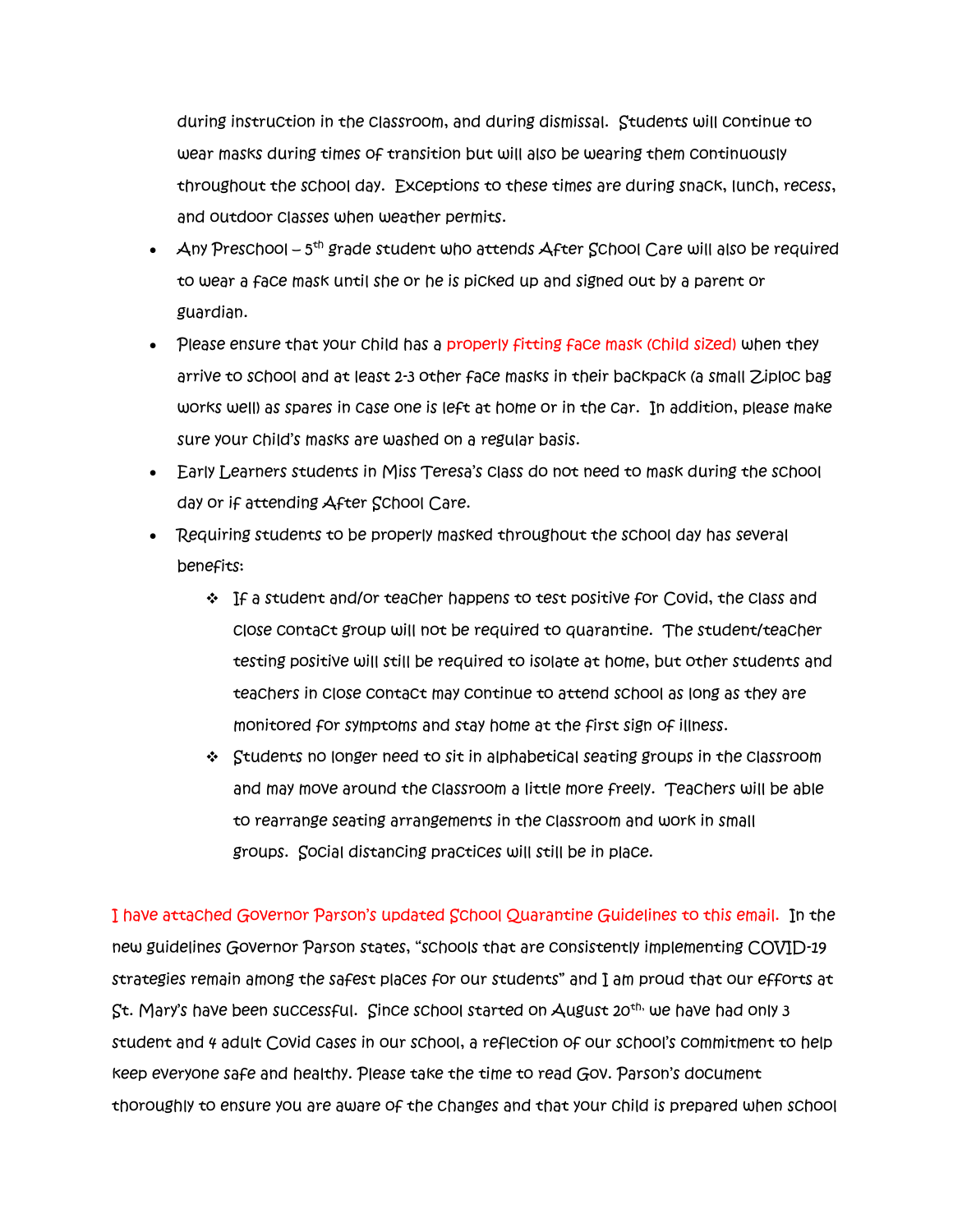during instruction in the classroom, and during dismissal. Students will continue to wear masks during times of transition but will also be wearing them continuously throughout the school day. Exceptions to these times are during snack, lunch, recess, and outdoor classes when weather permits.

- $\quad$  Any Preschool 5<sup>th</sup> grade student who attends After School Care will also be required to wear a face mask until she or he is picked up and signed out by a parent or guardian.
- Please ensure that your child has a properly fitting face mask (child sized) when they arrive to school and at least 2-3 other face masks in their backpack (a small Ziploc bag works well) as spares in case one is left at home or in the car. In addition, please make sure your child's masks are washed on a regular basis.
- Early Learners students in Miss Teresa's class do not need to mask during the school day or if attending After School Care.
- Requiring students to be properly masked throughout the school day has several benefits:
	- ❖ If a student and/or teacher happens to test positive for Covid, the class and close contact group will not be required to quarantine. The student/teacher testing positive will still be required to isolate at home, but other students and teachers in close contact may continue to attend school as long as they are monitored for symptoms and stay home at the first sign of illness.
	- ❖ Students no longer need to sit in alphabetical seating groups in the classroom and may move around the classroom a little more freely. Teachers will be able to rearrange seating arrangements in the classroom and work in small groups. Social distancing practices will still be in place.

I have attached Governor Parson's updated School Quarantine Guidelines to this email. In the new guidelines Governor Parson states, "schools that are consistently implementing COVID-19 strategies remain among the safest places for our students" and I am proud that our efforts at St. Mary's have been successful. Since school started on August 20<sup>th,</sup> we have had only 3 student and 4 adult Covid cases in our school, a reflection of our school's commitment to help keep everyone safe and healthy. Please take the time to read Gov. Parson's document thoroughly to ensure you are aware of the changes and that your child is prepared when school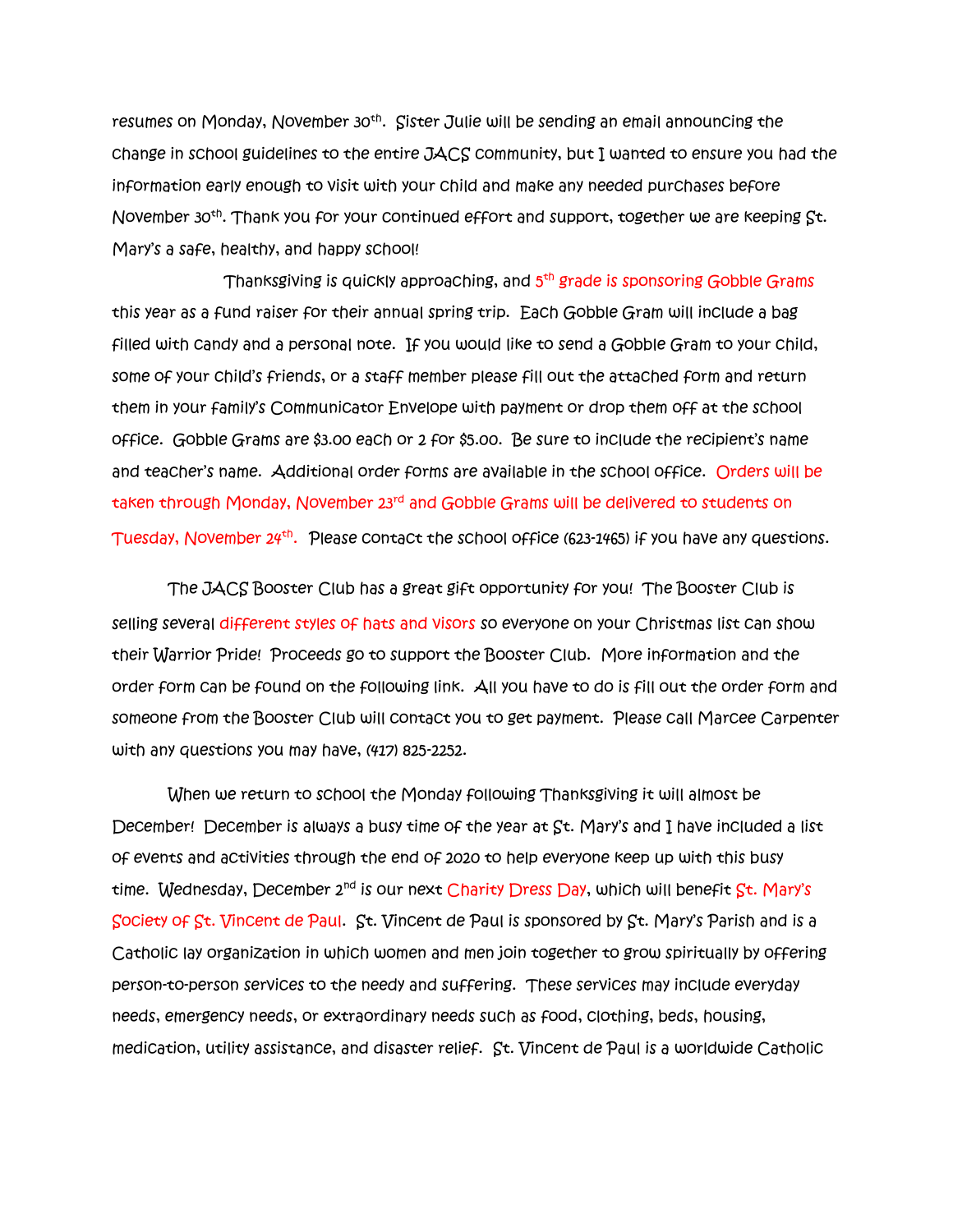resumes on Monday, November 30<sup>th</sup>. Sister Julie will be sending an email announcing the change in school guidelines to the entire JACS community, but I wanted to ensure you had the information early enough to visit with your child and make any needed purchases before November 30<sup>th</sup>. Thank you for your continued effort and support, together we are keeping St. Mary's a safe, healthy, and happy school!

Thanksgiving is quickly approaching, and 5<sup>th</sup> grade is sponsoring Gobble Grams this year as a fund raiser for their annual spring trip. Each Gobble Gram will include a bag filled with candy and a personal note. If you would like to send a Gobble Gram to your child, some of your child's friends, or a staff member please fill out the attached form and return them in your family's Communicator Envelope with payment or drop them off at the school office. Gobble Grams are \$3.00 each or 2 for \$5.00. Be sure to include the recipient's name and teacher's name. Additional order forms are available in the school office. Orders will be taken through Monday, November 23rd and Gobble Grams will be delivered to students on Tuesday, November 24<sup>th</sup>. Please contact the school office (623-1465) if you have any questions.

 The JACS Booster Club has a great gift opportunity for you! The Booster Club is selling several different styles of hats and visors so everyone on your Christmas list can show their Warrior Pride! Proceeds go to support the Booster Club. More information and the order form can be found on the following link. All you have to do is fill out the order form and someone from the Booster Club will contact you to get payment. Please call Marcee Carpenter with any questions you may have, (417) 825-2252.

 When we return to school the Monday following Thanksgiving it will almost be December! December is always a busy time of the year at St. Mary's and I have included a list of events and activities through the end of 2020 to help everyone keep up with this busy time. Wednesday, December 2<sup>nd</sup> is our next Charity Dress Day, which will benefit St. Mary's Society of St. Vincent de Paul. St. Vincent de Paul is sponsored by St. Mary's Parish and is a Catholic lay organization in which women and men join together to grow spiritually by offering person-to-person services to the needy and suffering. These services may include everyday needs, emergency needs, or extraordinary needs such as food, clothing, beds, housing, medication, utility assistance, and disaster relief. St. Vincent de Paul is a worldwide Catholic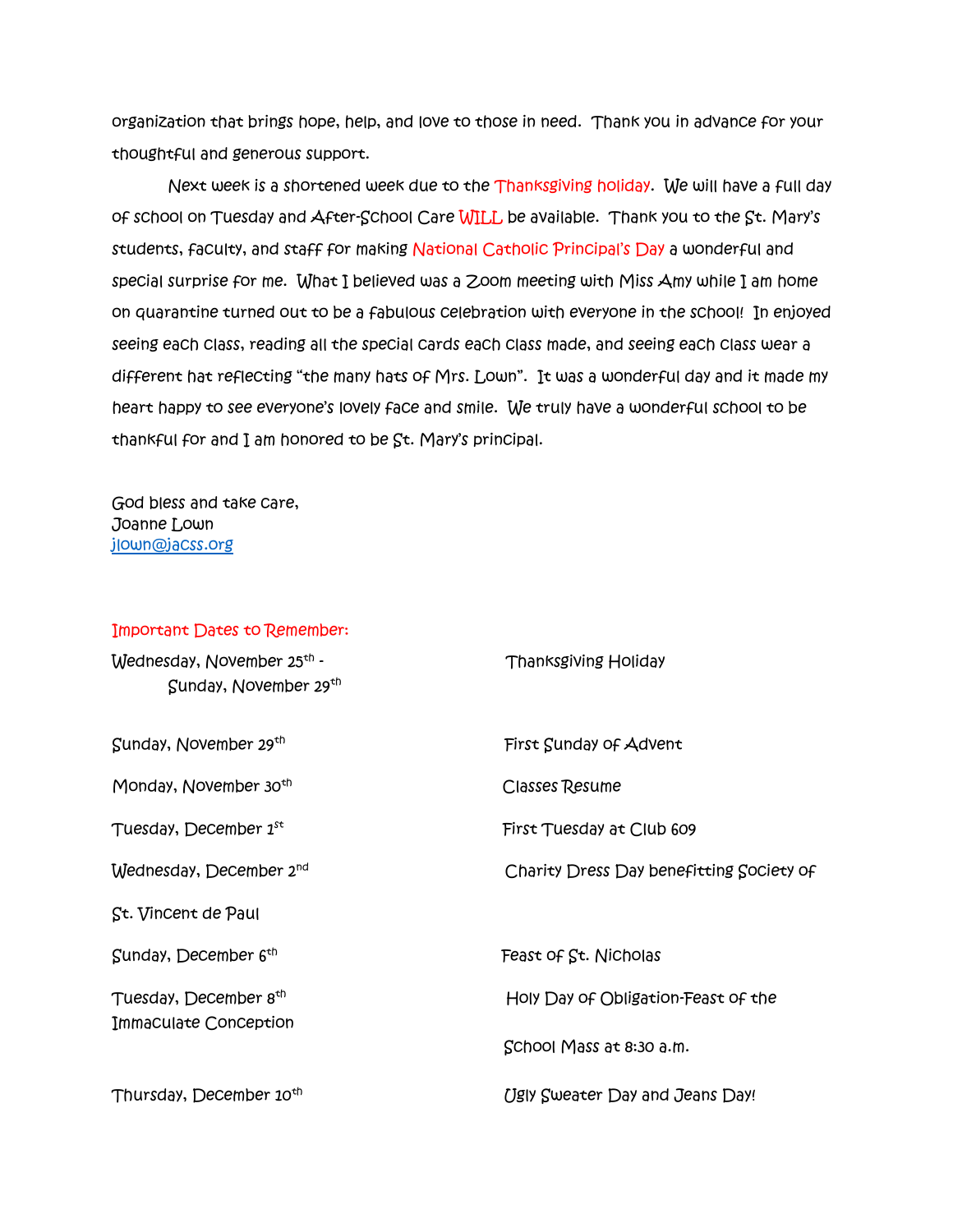organization that brings hope, help, and love to those in need. Thank you in advance for your thoughtful and generous support.

 Next week is a shortened week due to the Thanksgiving holiday. We will have a full day of school on Tuesday and After-School Care WILL be available. Thank you to the St. Mary's students, faculty, and staff for making National Catholic Principal's Day a wonderful and special surprise for me. What I believed was a Zoom meeting with Miss Amy while I am home on quarantine turned out to be a fabulous celebration with everyone in the school! In enjoyed seeing each class, reading all the special cards each class made, and seeing each class wear a different hat reflecting "the many hats of Mrs. Lown". It was a wonderful day and it made my heart happy to see everyone's lovely face and smile. We truly have a wonderful school to be thankful for and I am honored to be St. Mary's principal.

God bless and take care, Joanne Lown [jlown@jacss.org](mailto:jlown@jacss.org)

## Important Dates to Remember:

| Wednesday, November 25 <sup>th</sup> -<br>Sunday, November 29th | <b>Thanksgiving Holiday</b>              |
|-----------------------------------------------------------------|------------------------------------------|
| Sunday, November 29th                                           | First Sunday of Advent                   |
| Monday, November 30 <sup>th</sup>                               | <b>Classes Resume</b>                    |
| Tuesday, December 1st                                           | First Tuesday at Club 609                |
| Wednesday, December 2 <sup>nd</sup>                             | Charity Dress Day benefitting Society of |
| St. Vincent de Paul                                             |                                          |
| Sunday, December 6 <sup>th</sup>                                | Feast of St. Nicholas                    |
| Tuesday, December 8th                                           | Holy Day of Obligation-Feast of the      |
| Immaculate Conception                                           | School Mass at 8:30 a.m.                 |
| Thursday, December 10 <sup>th</sup>                             | Ugly Sweater Day and Jeans Day!          |